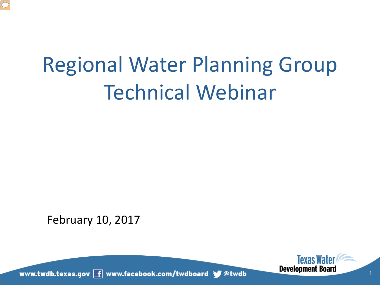

# Regional Water Planning Group Technical Webinar

February 10, 2017

www.twdb.texas.gov f www.facebook.com/twdboard \@dtwdb



1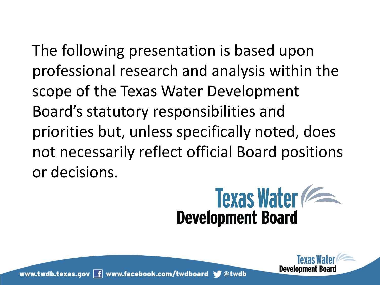The following presentation is based upon professional research and analysis within the scope of the Texas Water Development Board's statutory responsibilities and priorities but, unless specifically noted, does not necessarily reflect official Board positions or decisions.



Development Board

www.twdb.texas.gov  $\boxed{f}$  www.facebook.com/twdboard  $\blacktriangleright$  @twdb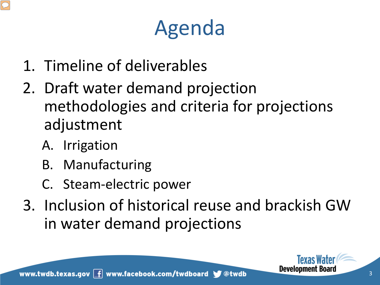# Agenda

- 1. Timeline of deliverables
- 2. Draft water demand projection methodologies and criteria for projections adjustment
	- A. Irrigation
	- B. Manufacturing
	- C. Steam-electric power
- 3. Inclusion of historical reuse and brackish GW in water demand projections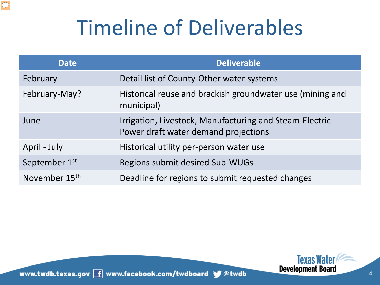# Timeline of Deliverables

| <b>Date</b>               | <b>Deliverable</b>                                                                              |
|---------------------------|-------------------------------------------------------------------------------------------------|
| February                  | Detail list of County-Other water systems                                                       |
| February-May?             | Historical reuse and brackish groundwater use (mining and<br>municipal)                         |
| June                      | Irrigation, Livestock, Manufacturing and Steam-Electric<br>Power draft water demand projections |
| April - July              | Historical utility per-person water use                                                         |
| September 1st             | Regions submit desired Sub-WUGs                                                                 |
| November 15 <sup>th</sup> | Deadline for regions to submit requested changes                                                |

www.twdb.texas.gov  $\boxed{\mathbf{f}}$  www.facebook.com/twdboard  $\blacktriangleright$  @twdb

 $\boxed{\bigcirc}$ 

**Texas Water**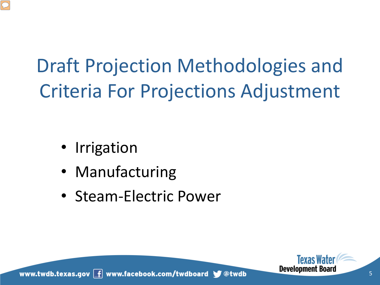

# Draft Projection Methodologies and Criteria For Projections Adjustment

- Irrigation
- Manufacturing
- Steam-Electric Power



www.twdb.texas.gov  $\boxed{f}$  www.facebook.com/twdboard  $\blacktriangleright$  @twdb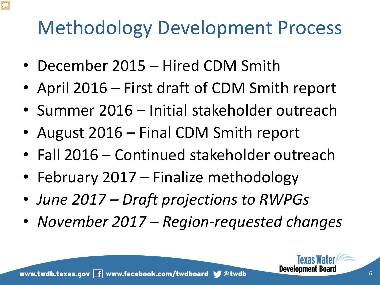## Methodology Development Process

- December 2015 Hired CDM Smith
- April 2016 First draft of CDM Smith report
- Summer 2016 Initial stakeholder outreach
- August 2016 Final CDM Smith report
- Fall 2016 Continued stakeholder outreach
- February 2017 Finalize methodology
- *June 2017 Draft projections to RWPGs*
- *November 2017 Region-requested changes*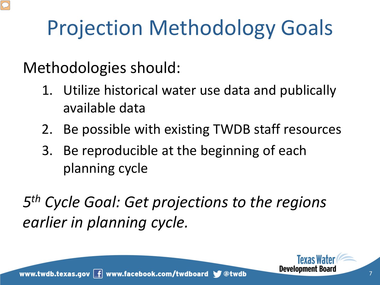# Projection Methodology Goals

Methodologies should:

- 1. Utilize historical water use data and publically available data
- 2. Be possible with existing TWDB staff resources
- 3. Be reproducible at the beginning of each planning cycle

*5th Cycle Goal: Get projections to the regions earlier in planning cycle.*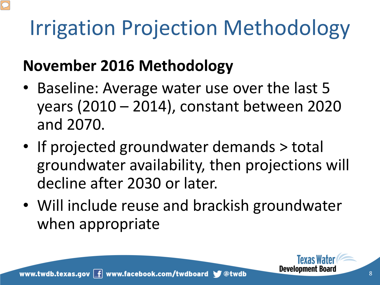# Irrigation Projection Methodology

### **November 2016 Methodology**

- Baseline: Average water use over the last 5 years (2010 – 2014), constant between 2020 and 2070.
- If projected groundwater demands > total groundwater availability, then projections will decline after 2030 or later.
- Will include reuse and brackish groundwater when appropriate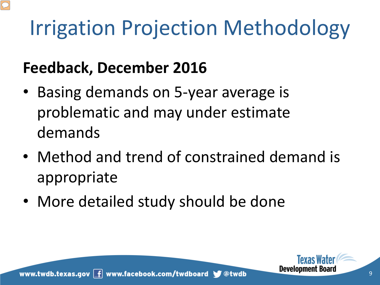# Irrigation Projection Methodology

#### **Feedback, December 2016**

- Basing demands on 5-year average is problematic and may under estimate demands
- Method and trend of constrained demand is appropriate
- More detailed study should be done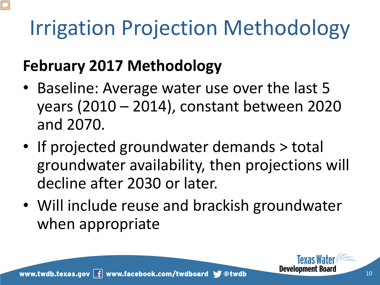# Irrigation Projection Methodology

#### **February 2017 Methodology**

- Baseline: Average water use over the last 5 years (2010 – 2014), constant between 2020 and 2070.
- If projected groundwater demands > total groundwater availability, then projections will decline after 2030 or later.
- Will include reuse and brackish groundwater when appropriate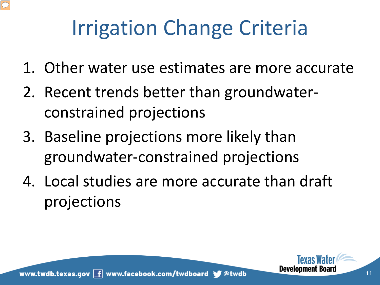

# Irrigation Change Criteria

- 1. Other water use estimates are more accurate
- 2. Recent trends better than groundwaterconstrained projections
- 3. Baseline projections more likely than groundwater-constrained projections
- 4. Local studies are more accurate than draft projections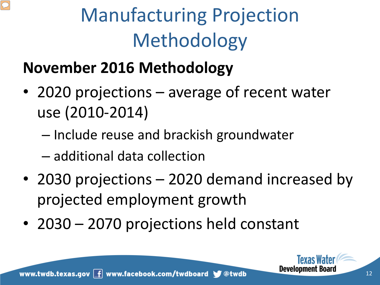# Manufacturing Projection Methodology

## **November 2016 Methodology**

- 2020 projections average of recent water use (2010-2014)
	- Include reuse and brackish groundwater
	- additional data collection
- 2030 projections 2020 demand increased by projected employment growth
- 2030 2070 projections held constant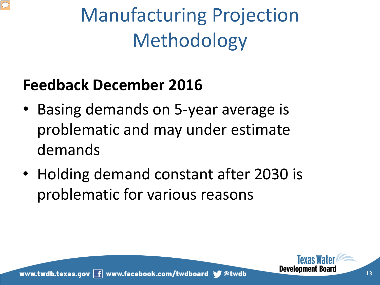

# Manufacturing Projection Methodology

#### **Feedback December 2016**

- Basing demands on 5-year average is problematic and may under estimate demands
- Holding demand constant after 2030 is problematic for various reasons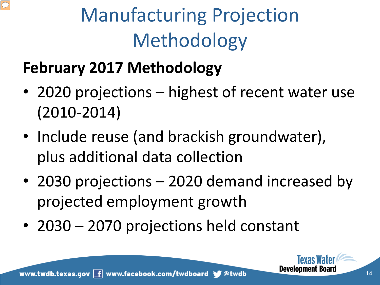# Manufacturing Projection Methodology

### **February 2017 Methodology**

- 2020 projections highest of recent water use (2010-2014)
- Include reuse (and brackish groundwater), plus additional data collection
- 2030 projections 2020 demand increased by projected employment growth
- 2030 2070 projections held constant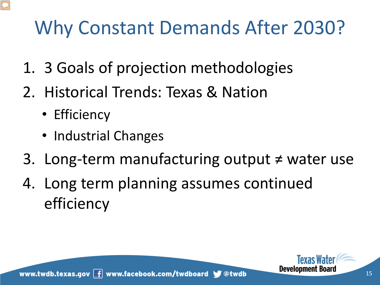- 1. 3 Goals of projection methodologies
- 2. Historical Trends: Texas & Nation
	- Efficiency
	- Industrial Changes
- 3. Long-term manufacturing output ≠ water use
- 4. Long term planning assumes continued efficiency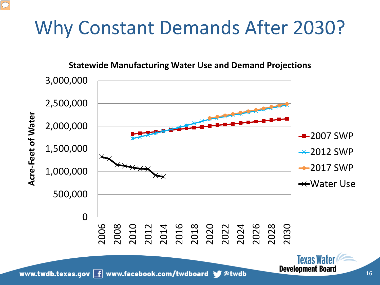#### **Statewide Manufacturing Water Use and Demand Projections**



16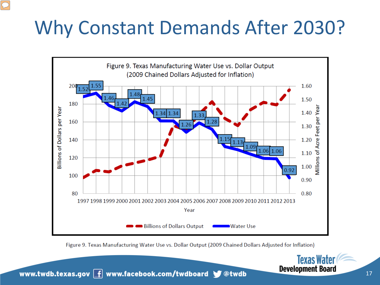

Figure 9. Texas Manufacturing Water Use vs. Dollar Output (2009 Chained Dollars Adjusted for Inflation)

www.twdb.texas.gov  $\boxed{f}$  www.facebook.com/twdboard  $\blacktriangleright$  @twdb

**Texas Water**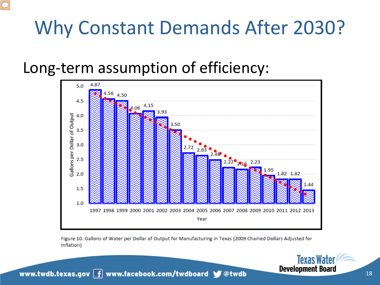#### Long-term assumption of efficiency:



Figure 10. Gallons of Water per Dollar of Output for Manufacturing in Texas (2009 Chained Dollars Adjusted for Inflation)



Texas Water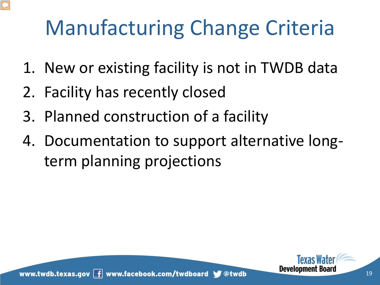# Manufacturing Change Criteria

- 1. New or existing facility is not in TWDB data
- 2. Facility has recently closed
- 3. Planned construction of a facility
- 4. Documentation to support alternative longterm planning projections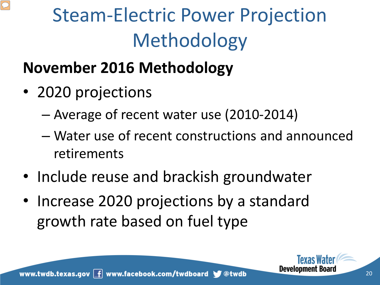

#### **November 2016 Methodology**

- 2020 projections
	- Average of recent water use (2010-2014)
	- Water use of recent constructions and announced retirements
- Include reuse and brackish groundwater
- Increase 2020 projections by a standard growth rate based on fuel type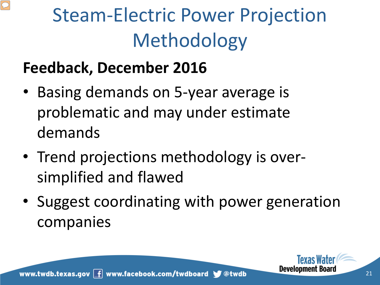

#### **Feedback, December 2016**

- Basing demands on 5-year average is problematic and may under estimate demands
- Trend projections methodology is oversimplified and flawed
- Suggest coordinating with power generation companies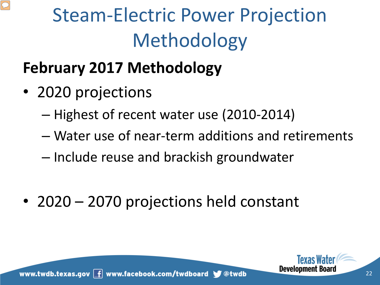

## **February 2017 Methodology**

- 2020 projections
	- Highest of recent water use (2010-2014)
	- Water use of near-term additions and retirements
	- Include reuse and brackish groundwater
- 2020 2070 projections held constant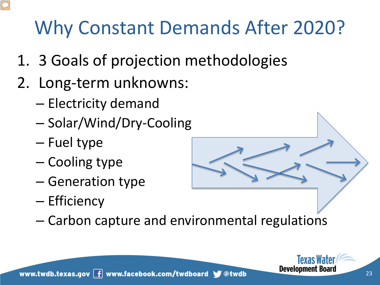- 1. 3 Goals of projection methodologies
- 2. Long-term unknowns:
	- Electricity demand
	- Solar/Wind/Dry-Cooling
	- Fuel type
	- Cooling type
	- Generation type
	- Efficiency
		-
	- Carbon capture and environmental regulations

**Texas** I **Development Board**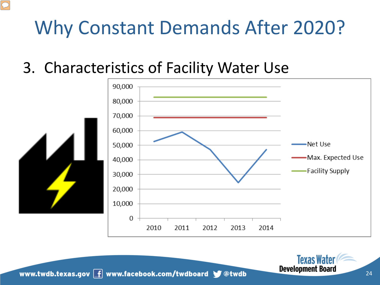#### 3. Characteristics of Facility Water Use



www.twdb.texas.gov  $\boxed{f}$  www.facebook.com/twdboard  $\blacktriangleright$  @twdb

Texas V **Development Board**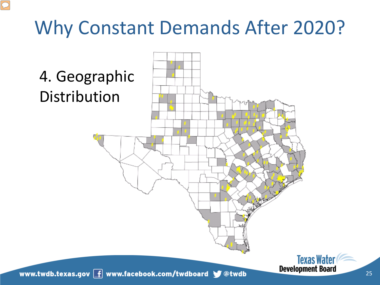$\overline{C}$ 

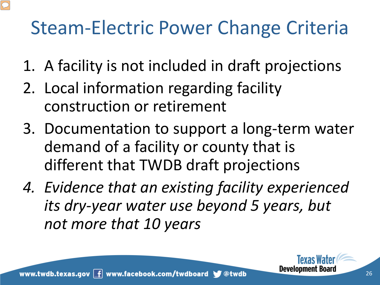## Steam-Electric Power Change Criteria

- 1. A facility is not included in draft projections
- 2. Local information regarding facility construction or retirement
- 3. Documentation to support a long-term water demand of a facility or county that is different that TWDB draft projections
- *4. Evidence that an existing facility experienced its dry-year water use beyond 5 years, but not more that 10 years*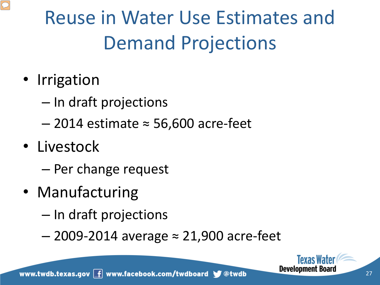

# Reuse in Water Use Estimates and Demand Projections

- Irrigation
	- In draft projections
	- 2014 estimate ≈ 56,600 acre-feet
- Livestock
	- Per change request
- Manufacturing
	- In draft projections
	- 2009-2014 average ≈ 21,900 acre-feet

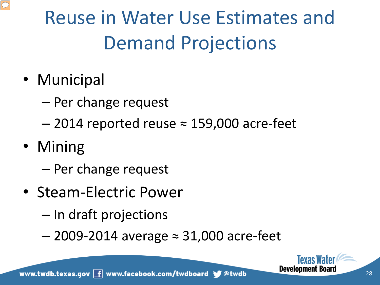# Reuse in Water Use Estimates and Demand Projections

- Municipal
	- Per change request
	- $-$  2014 reported reuse  $\approx$  159,000 acre-feet
- Mining
	- Per change request
- Steam-Electric Power
	- In draft projections
	- 2009-2014 average ≈ 31,000 acre-feet

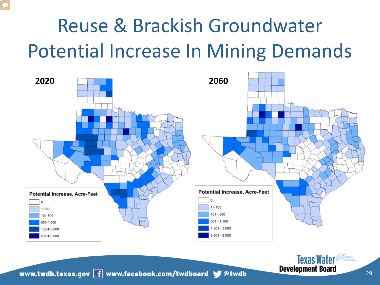# Reuse & Brackish Groundwater Potential Increase In Mining Demands



www.twdb.texas.gov  $\boxed{f}$  www.facebook.com/twdboard  $\blacktriangleright$  @twdb

**Texas Water**